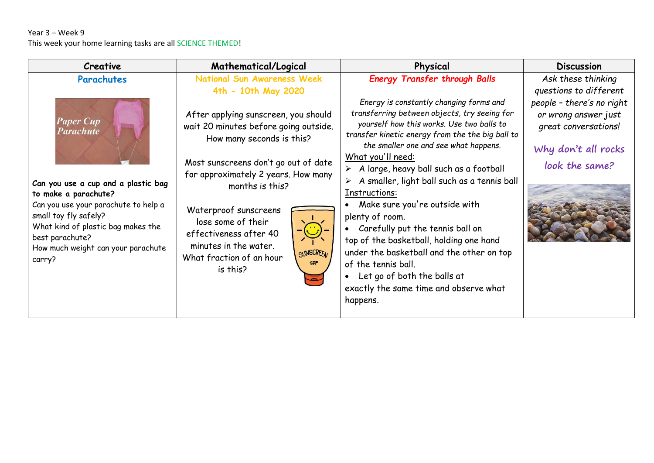#### Year 3 – Week 9 This week your home learning tasks are all SCIENCE THEMED!

| <b>Creative</b>                                                                                                                                                                                                                                                                      | Mathematical/Logical                                                                                                                                                                                                                                                                                                                                                                                                                           | Physical                                                                                                                                                                                                                                                                                                                                                                                                                                                                                                                                                                                                                                                                                                                       | <b>Discussion</b>                                                                                                                                                  |
|--------------------------------------------------------------------------------------------------------------------------------------------------------------------------------------------------------------------------------------------------------------------------------------|------------------------------------------------------------------------------------------------------------------------------------------------------------------------------------------------------------------------------------------------------------------------------------------------------------------------------------------------------------------------------------------------------------------------------------------------|--------------------------------------------------------------------------------------------------------------------------------------------------------------------------------------------------------------------------------------------------------------------------------------------------------------------------------------------------------------------------------------------------------------------------------------------------------------------------------------------------------------------------------------------------------------------------------------------------------------------------------------------------------------------------------------------------------------------------------|--------------------------------------------------------------------------------------------------------------------------------------------------------------------|
| Parachutes<br><b>Paper Cup</b><br>Parachute<br>Can you use a cup and a plastic bag<br>to make a parachute?<br>Can you use your parachute to help a<br>small toy fly safely?<br>What kind of plastic bag makes the<br>best parachute?<br>How much weight can your parachute<br>carry? | <b>National Sun Awareness Week</b><br>4th - 10th May 2020<br>After applying sunscreen, you should<br>wait 20 minutes before going outside.<br>How many seconds is this?<br>Most sunscreens don't go out of date<br>for approximately 2 years. How many<br>months is this?<br>Waterproof sunscreens<br>lose some of their<br>effectiveness after 40<br>minutes in the water.<br>SUNSCREEN<br>What fraction of an hour<br><b>SPF</b><br>is this? | <b>Energy Transfer through Balls</b><br>Energy is constantly changing forms and<br>transferring between objects, try seeing for<br>yourself how this works. Use two balls to<br>transfer kinetic energy from the the big ball to<br>the smaller one and see what happens.<br>What you'll need:<br>A large, heavy ball such as a football<br>A smaller, light ball such as a tennis ball<br>Instructions:<br>Make sure you're outside with<br>plenty of room.<br>Carefully put the tennis ball on<br>$\bullet$<br>top of the basketball, holding one hand<br>under the basketball and the other on top<br>of the tennis ball.<br>Let go of both the balls at<br>$\bullet$<br>exactly the same time and observe what<br>happens. | Ask these thinking<br>questions to different<br>people - there's no right<br>or wrong answer just<br>great conversations!<br>Why don't all rocks<br>look the same? |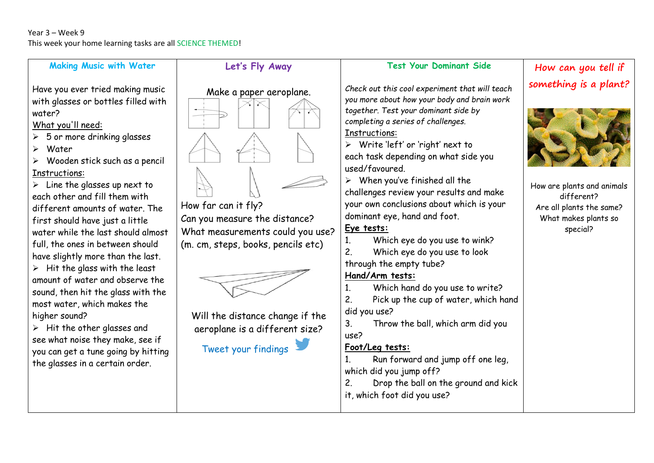#### **Making Music with Water**

Have you ever tried making music with glasses or bottles filled with water?

What you'll need:

- $\geqslant$  5 or more drinking glasses
- Water
- $\triangleright$  Wooden stick such as a pencil Instructions:

 $\triangleright$  Line the glasses up next to each other and fill them with different amounts of water. The first should have just a little water while the last should almost full, the ones in between should have slightly more than the last.  $\triangleright$  Hit the glass with the least amount of water and observe the sound, then hit the glass with the most water, which makes the higher sound?

 $\triangleright$  Hit the other glasses and see what noise they make, see if you can get a tune going by hitting the glasses in a certain order.



**Let's Fly Away**

Can you measure the distance? What measurements could you use? (m. cm, steps, books, pencils etc)



Will the distance change if the aeroplane is a different size?



### **Test Your Dominant Side**

*Check out this cool experiment that will teach you more about how your body and brain work together. Test your dominant side by completing a series of challenges.* Instructions:

 $\triangleright$  Write 'left' or 'right' next to each task depending on what side you used/favoured.

 $\triangleright$  When you've finished all the challenges review your results and make your own conclusions about which is your dominant eye, hand and foot.

# **Eye tests:**

1. Which eye do you use to wink?

2. Which eye do you use to look

through the empty tube?

### **Hand/Arm tests:**

1. Which hand do you use to write?

2. Pick up the cup of water, which hand did you use?

3. Throw the ball, which arm did you use?

# **Foot/Leg tests:**

1. Run forward and jump off one leg, which did you jump off?

2. Drop the ball on the ground and kick

it, which foot did you use?

# **How can you tell if something is a plant?**



How are plants and animals different? Are all plants the same? What makes plants so special?